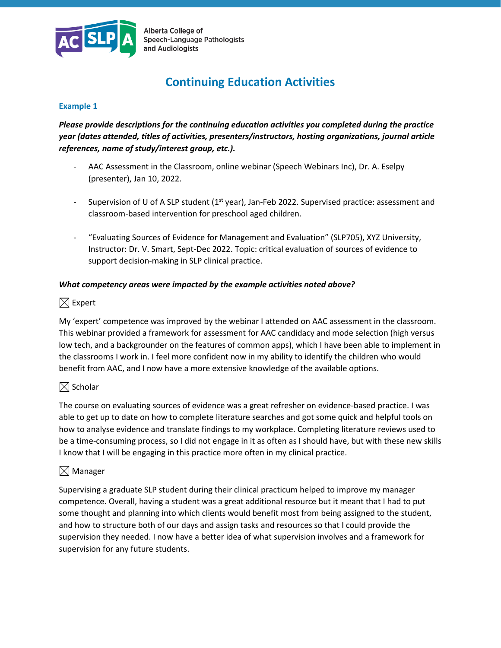

Alberta College of Speech-Language Pathologists and Audiologists

# **Continuing Education Activities**

#### **Example 1**

*Please provide descriptions for the continuing education activities you completed during the practice year (dates attended, titles of activities, presenters/instructors, hosting organizations, journal article references, name of study/interest group, etc.).* 

- AAC Assessment in the Classroom, online webinar (Speech Webinars Inc), Dr. A. Eselpy (presenter), Jan 10, 2022.
- Supervision of U of A SLP student (1<sup>st</sup> year), Jan-Feb 2022. Supervised practice: assessment and classroom-based intervention for preschool aged children.
- "Evaluating Sources of Evidence for Management and Evaluation" (SLP705), XYZ University, Instructor: Dr. V. Smart, Sept-Dec 2022. Topic: critical evaluation of sources of evidence to support decision-making in SLP clinical practice.

#### *What competency areas were impacted by the example activities noted above?*

# $\boxtimes$  Expert

My 'expert' competence was improved by the webinar I attended on AAC assessment in the classroom. This webinar provided a framework for assessment for AAC candidacy and mode selection (high versus low tech, and a backgrounder on the features of common apps), which I have been able to implement in the classrooms I work in. I feel more confident now in my ability to identify the children who would benefit from AAC, and I now have a more extensive knowledge of the available options.

# $\boxtimes$  Scholar

The course on evaluating sources of evidence was a great refresher on evidence-based practice. I was able to get up to date on how to complete literature searches and got some quick and helpful tools on how to analyse evidence and translate findings to my workplace. Completing literature reviews used to be a time-consuming process, so I did not engage in it as often as I should have, but with these new skills I know that I will be engaging in this practice more often in my clinical practice.

# $\boxtimes$  Manager

Supervising a graduate SLP student during their clinical practicum helped to improve my manager competence. Overall, having a student was a great additional resource but it meant that I had to put some thought and planning into which clients would benefit most from being assigned to the student, and how to structure both of our days and assign tasks and resources so that I could provide the supervision they needed. I now have a better idea of what supervision involves and a framework for supervision for any future students.